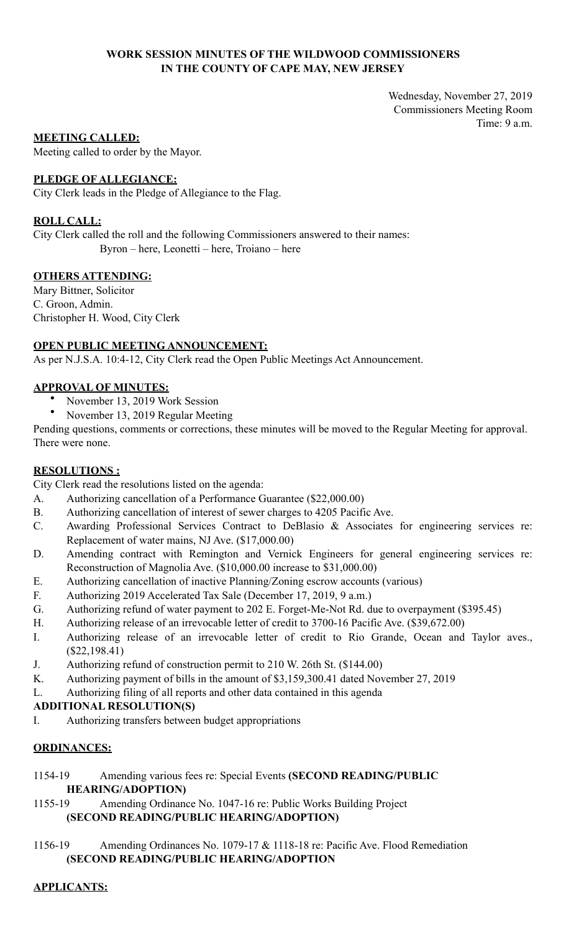## **WORK SESSION MINUTES OF THE WILDWOOD COMMISSIONERS IN THE COUNTY OF CAPE MAY, NEW JERSEY**

Wednesday, November 27, 2019 Commissioners Meeting Room Time: 9 a.m.

#### **MEETING CALLED:**

Meeting called to order by the Mayor.

## **PLEDGE OF ALLEGIANCE:**

City Clerk leads in the Pledge of Allegiance to the Flag.

## **ROLL CALL:**

City Clerk called the roll and the following Commissioners answered to their names: Byron – here, Leonetti – here, Troiano – here

## **OTHERS ATTENDING:**

Mary Bittner, Solicitor C. Groon, Admin. Christopher H. Wood, City Clerk

## **OPEN PUBLIC MEETING ANNOUNCEMENT:**

As per N.J.S.A. 10:4-12, City Clerk read the Open Public Meetings Act Announcement.

## **APPROVAL OF MINUTES:**

- November 13, 2019 Work Session<br>• November 12, 2010 Besular Mart
- November 13, 2019 Regular Meeting

Pending questions, comments or corrections, these minutes will be moved to the Regular Meeting for approval. There were none.

## **RESOLUTIONS :**

City Clerk read the resolutions listed on the agenda:

- A. Authorizing cancellation of a Performance Guarantee (\$22,000.00)
- B. Authorizing cancellation of interest of sewer charges to 4205 Pacific Ave.
- C. Awarding Professional Services Contract to DeBlasio & Associates for engineering services re: Replacement of water mains, NJ Ave. (\$17,000.00)
- D. Amending contract with Remington and Vernick Engineers for general engineering services re: Reconstruction of Magnolia Ave. (\$10,000.00 increase to \$31,000.00)
- E. Authorizing cancellation of inactive Planning/Zoning escrow accounts (various)
- F. Authorizing 2019 Accelerated Tax Sale (December 17, 2019, 9 a.m.)
- G. Authorizing refund of water payment to 202 E. Forget-Me-Not Rd. due to overpayment (\$395.45)
- H. Authorizing release of an irrevocable letter of credit to 3700-16 Pacific Ave. (\$39,672.00)
- I. Authorizing release of an irrevocable letter of credit to Rio Grande, Ocean and Taylor aves., (\$22,198.41)
- J. Authorizing refund of construction permit to 210 W. 26th St. (\$144.00)
- K. Authorizing payment of bills in the amount of \$3,159,300.41 dated November 27, 2019
- L. Authorizing filing of all reports and other data contained in this agenda

## **ADDITIONAL RESOLUTION(S)**

I. Authorizing transfers between budget appropriations

## **ORDINANCES:**

- 1154-19 Amending various fees re: Special Events **(SECOND READING/PUBLIC HEARING/ADOPTION)**
- 1155-19 Amending Ordinance No. 1047-16 re: Public Works Building Project **(SECOND READING/PUBLIC HEARING/ADOPTION)**
- 1156-19 Amending Ordinances No. 1079-17 & 1118-18 re: Pacific Ave. Flood Remediation **(SECOND READING/PUBLIC HEARING/ADOPTION**

#### **APPLICANTS:**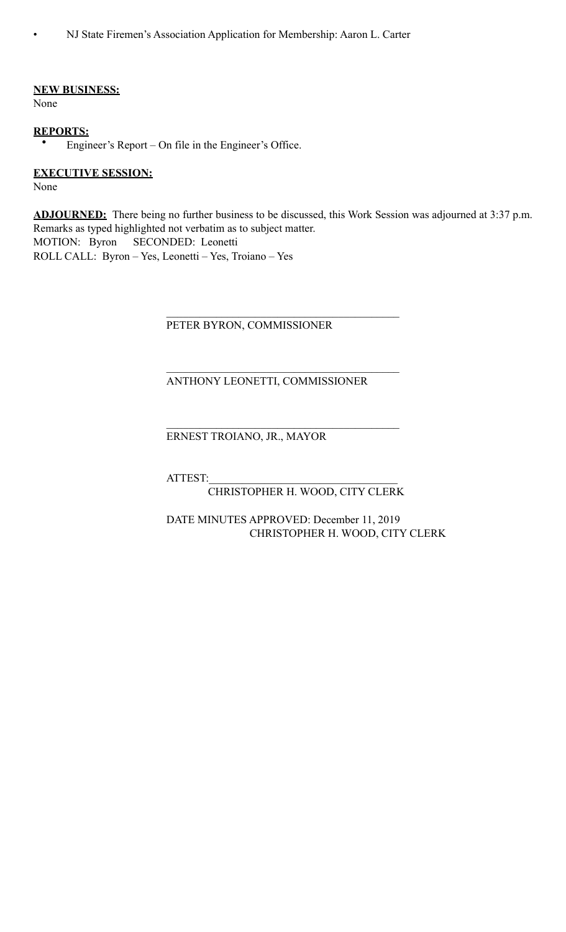• NJ State Firemen's Association Application for Membership: Aaron L. Carter

#### **NEW BUSINESS:**

None

#### **REPORTS:**

• Engineer's Report – On file in the Engineer's Office.

#### **EXECUTIVE SESSION:**

None

**ADJOURNED:** There being no further business to be discussed, this Work Session was adjourned at 3:37 p.m. Remarks as typed highlighted not verbatim as to subject matter. MOTION: Byron SECONDED: Leonetti ROLL CALL: Byron – Yes, Leonetti – Yes, Troiano – Yes

#### PETER BYRON, COMMISSIONER

 $\mathcal{L}_\mathcal{L} = \mathcal{L}_\mathcal{L} = \mathcal{L}_\mathcal{L} = \mathcal{L}_\mathcal{L} = \mathcal{L}_\mathcal{L} = \mathcal{L}_\mathcal{L} = \mathcal{L}_\mathcal{L} = \mathcal{L}_\mathcal{L} = \mathcal{L}_\mathcal{L} = \mathcal{L}_\mathcal{L} = \mathcal{L}_\mathcal{L} = \mathcal{L}_\mathcal{L} = \mathcal{L}_\mathcal{L} = \mathcal{L}_\mathcal{L} = \mathcal{L}_\mathcal{L} = \mathcal{L}_\mathcal{L} = \mathcal{L}_\mathcal{L}$ 

 $\mathcal{L}_\mathcal{L} = \mathcal{L}_\mathcal{L} = \mathcal{L}_\mathcal{L} = \mathcal{L}_\mathcal{L} = \mathcal{L}_\mathcal{L} = \mathcal{L}_\mathcal{L} = \mathcal{L}_\mathcal{L} = \mathcal{L}_\mathcal{L} = \mathcal{L}_\mathcal{L} = \mathcal{L}_\mathcal{L} = \mathcal{L}_\mathcal{L} = \mathcal{L}_\mathcal{L} = \mathcal{L}_\mathcal{L} = \mathcal{L}_\mathcal{L} = \mathcal{L}_\mathcal{L} = \mathcal{L}_\mathcal{L} = \mathcal{L}_\mathcal{L}$ 

 $\mathcal{L}_\mathcal{L} = \mathcal{L}_\mathcal{L} = \mathcal{L}_\mathcal{L} = \mathcal{L}_\mathcal{L} = \mathcal{L}_\mathcal{L} = \mathcal{L}_\mathcal{L} = \mathcal{L}_\mathcal{L} = \mathcal{L}_\mathcal{L} = \mathcal{L}_\mathcal{L} = \mathcal{L}_\mathcal{L} = \mathcal{L}_\mathcal{L} = \mathcal{L}_\mathcal{L} = \mathcal{L}_\mathcal{L} = \mathcal{L}_\mathcal{L} = \mathcal{L}_\mathcal{L} = \mathcal{L}_\mathcal{L} = \mathcal{L}_\mathcal{L}$ 

## ANTHONY LEONETTI, COMMISSIONER

## ERNEST TROIANO, JR., MAYOR

ATTEST:\_\_\_\_\_\_\_\_\_\_\_\_\_\_\_\_\_\_\_\_\_\_\_\_\_\_\_\_\_\_\_\_\_\_

## CHRISTOPHER H. WOOD, CITY CLERK

## DATE MINUTES APPROVED: December 11, 2019 CHRISTOPHER H. WOOD, CITY CLERK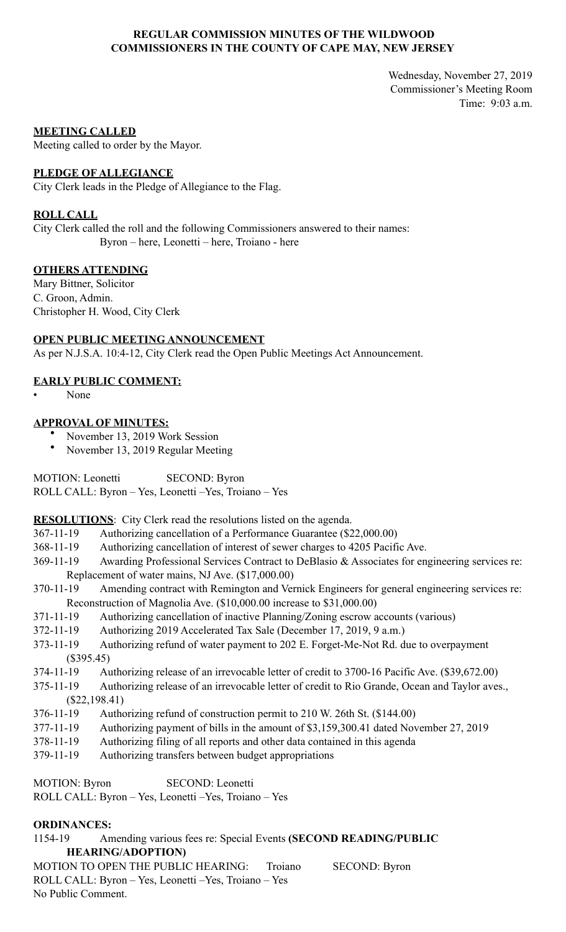## **REGULAR COMMISSION MINUTES OF THE WILDWOOD COMMISSIONERS IN THE COUNTY OF CAPE MAY, NEW JERSEY**

Wednesday, November 27, 2019 Commissioner's Meeting Room Time: 9:03 a.m.

#### **MEETING CALLED**

Meeting called to order by the Mayor.

#### **PLEDGE OF ALLEGIANCE**

City Clerk leads in the Pledge of Allegiance to the Flag.

#### **ROLL CALL**

City Clerk called the roll and the following Commissioners answered to their names: Byron – here, Leonetti – here, Troiano - here

## **OTHERS ATTENDING**

Mary Bittner, Solicitor C. Groon, Admin. Christopher H. Wood, City Clerk

## **OPEN PUBLIC MEETING ANNOUNCEMENT**

As per N.J.S.A. 10:4-12, City Clerk read the Open Public Meetings Act Announcement.

## **EARLY PUBLIC COMMENT:**

• None

## **APPROVAL OF MINUTES:**

- November 13, 2019 Work Session
- November 13, 2019 Regular Meeting

MOTION: Leonetti SECOND: Byron ROLL CALL: Byron – Yes, Leonetti –Yes, Troiano – Yes

**RESOLUTIONS**: City Clerk read the resolutions listed on the agenda.

- 367-11-19 Authorizing cancellation of a Performance Guarantee (\$22,000.00)
- 368-11-19 Authorizing cancellation of interest of sewer charges to 4205 Pacific Ave.
- 369-11-19 Awarding Professional Services Contract to DeBlasio & Associates for engineering services re: Replacement of water mains, NJ Ave. (\$17,000.00)
- 370-11-19 Amending contract with Remington and Vernick Engineers for general engineering services re: Reconstruction of Magnolia Ave. (\$10,000.00 increase to \$31,000.00)
- 371-11-19 Authorizing cancellation of inactive Planning/Zoning escrow accounts (various)
- 372-11-19 Authorizing 2019 Accelerated Tax Sale (December 17, 2019, 9 a.m.)
- 373-11-19 Authorizing refund of water payment to 202 E. Forget-Me-Not Rd. due to overpayment (\$395.45)
- 374-11-19 Authorizing release of an irrevocable letter of credit to 3700-16 Pacific Ave. (\$39,672.00)
- 375-11-19 Authorizing release of an irrevocable letter of credit to Rio Grande, Ocean and Taylor aves., (\$22,198.41)
- 376-11-19 Authorizing refund of construction permit to 210 W. 26th St. (\$144.00)
- 377-11-19 Authorizing payment of bills in the amount of \$3,159,300.41 dated November 27, 2019
- 378-11-19 Authorizing filing of all reports and other data contained in this agenda
- 379-11-19 Authorizing transfers between budget appropriations

MOTION: Byron SECOND: Leonetti ROLL CALL: Byron – Yes, Leonetti –Yes, Troiano – Yes

## **ORDINANCES:**

1154-19 Amending various fees re: Special Events **(SECOND READING/PUBLIC HEARING/ADOPTION)** 

MOTION TO OPEN THE PUBLIC HEARING: Troiano SECOND: Byron ROLL CALL: Byron – Yes, Leonetti –Yes, Troiano – Yes No Public Comment.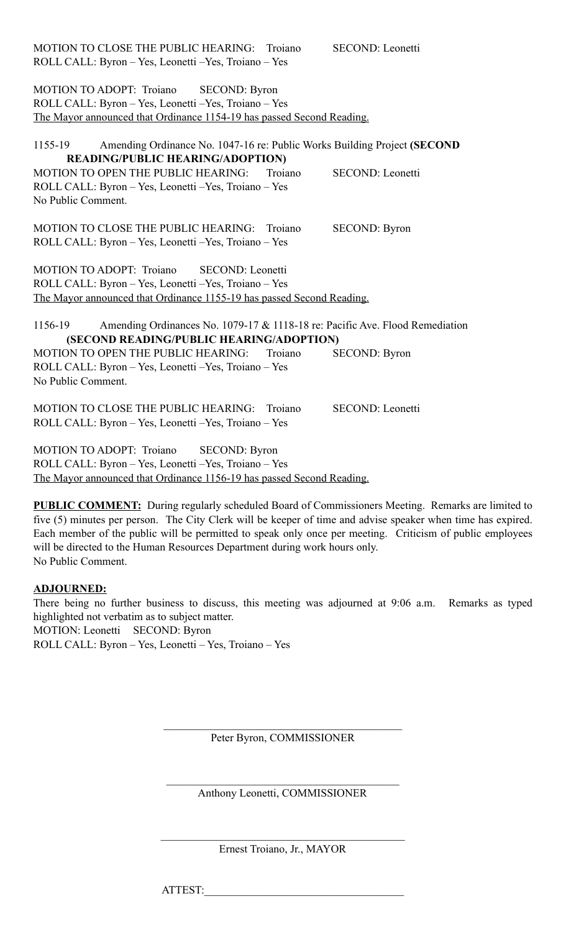| MOTION TO CLOSE THE PUBLIC HEARING: Troiano<br>ROLL CALL: Byron - Yes, Leonetti - Yes, Troiano - Yes |         | <b>SECOND: Leonetti</b> |
|------------------------------------------------------------------------------------------------------|---------|-------------------------|
| MOTION TO ADOPT: Troiano<br><b>SECOND: Byron</b>                                                     |         |                         |
| ROLL CALL: Byron - Yes, Leonetti - Yes, Troiano - Yes                                                |         |                         |
| The Mayor announced that Ordinance 1154-19 has passed Second Reading.                                |         |                         |
|                                                                                                      |         |                         |
| Amending Ordinance No. 1047-16 re: Public Works Building Project (SECOND<br>1155-19                  |         |                         |
| <b>READING/PUBLIC HEARING/ADOPTION)</b>                                                              |         |                         |
| MOTION TO OPEN THE PUBLIC HEARING:                                                                   | Troiano | SECOND: Leonetti        |
| ROLL CALL: Byron - Yes, Leonetti - Yes, Troiano - Yes                                                |         |                         |
| No Public Comment.                                                                                   |         |                         |
|                                                                                                      |         |                         |
| MOTION TO CLOSE THE PUBLIC HEARING: Troiano                                                          |         | <b>SECOND: Byron</b>    |
| ROLL CALL: Byron - Yes, Leonetti - Yes, Troiano - Yes                                                |         |                         |
|                                                                                                      |         |                         |
|                                                                                                      |         |                         |
| MOTION TO ADOPT: Troiano<br><b>SECOND:</b> Leonetti                                                  |         |                         |
| ROLL CALL: Byron - Yes, Leonetti - Yes, Troiano - Yes                                                |         |                         |
| The Mayor announced that Ordinance 1155-19 has passed Second Reading.                                |         |                         |
|                                                                                                      |         |                         |
| Amending Ordinances No. 1079-17 & 1118-18 re: Pacific Ave. Flood Remediation<br>1156-19              |         |                         |
| (SECOND READING/PUBLIC HEARING/ADOPTION)                                                             |         |                         |
| MOTION TO OPEN THE PUBLIC HEARING:                                                                   | Troiano | <b>SECOND: Byron</b>    |
| ROLL CALL: Byron - Yes, Leonetti - Yes, Troiano - Yes                                                |         |                         |
| No Public Comment.                                                                                   |         |                         |
|                                                                                                      |         |                         |
| MOTION TO CLOSE THE PUBLIC HEARING: Troiano                                                          |         | SECOND: Leonetti        |
| ROLL CALL: Byron - Yes, Leonetti - Yes, Troiano - Yes                                                |         |                         |
|                                                                                                      |         |                         |
|                                                                                                      |         |                         |
| MOTION TO ADOPT: Troiano<br><b>SECOND: Byron</b>                                                     |         |                         |
| ROLL CALL: Byron - Yes, Leonetti - Yes, Troiano - Yes                                                |         |                         |

The Mayor announced that Ordinance 1156-19 has passed Second Reading.

**PUBLIC COMMENT:** During regularly scheduled Board of Commissioners Meeting. Remarks are limited to five (5) minutes per person. The City Clerk will be keeper of time and advise speaker when time has expired. Each member of the public will be permitted to speak only once per meeting. Criticism of public employees will be directed to the Human Resources Department during work hours only. No Public Comment.

## **ADJOURNED:**

There being no further business to discuss, this meeting was adjourned at 9:06 a.m. Remarks as typed highlighted not verbatim as to subject matter. MOTION: Leonetti SECOND: Byron ROLL CALL: Byron – Yes, Leonetti – Yes, Troiano – Yes

> $\mathcal{L}_\text{max}$  and the contract of the contract of the contract of the contract of the contract of the contract of the contract of the contract of the contract of the contract of the contract of the contract of the contrac Peter Byron, COMMISSIONER

 $\mathcal{L}_\text{max}$ Anthony Leonetti, COMMISSIONER

 $\mathcal{L}_\text{max}$  and the contract of the contract of the contract of the contract of the contract of the contract of the contract of the contract of the contract of the contract of the contract of the contract of the contrac Ernest Troiano, Jr., MAYOR

ATTEST:\_\_\_\_\_\_\_\_\_\_\_\_\_\_\_\_\_\_\_\_\_\_\_\_\_\_\_\_\_\_\_\_\_\_\_\_